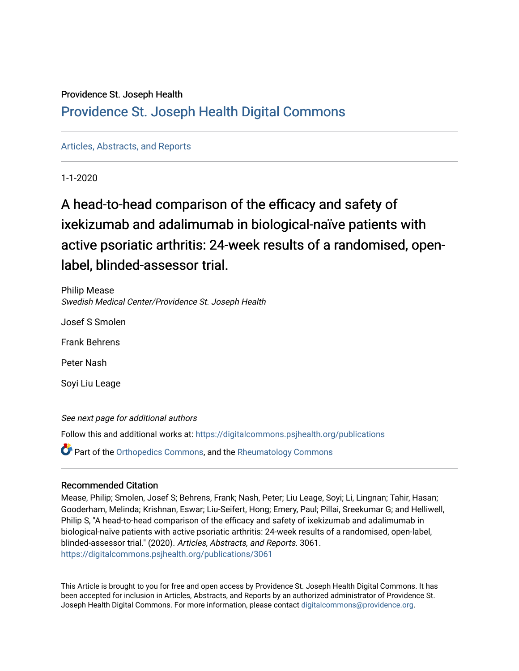## Providence St. Joseph Health

## [Providence St. Joseph Health Digital Commons](https://digitalcommons.psjhealth.org/)

## [Articles, Abstracts, and Reports](https://digitalcommons.psjhealth.org/publications)

1-1-2020

# A head-to-head comparison of the efficacy and safety of ixekizumab and adalimumab in biological-naïve patients with active psoriatic arthritis: 24-week results of a randomised, openlabel, blinded-assessor trial.

Philip Mease Swedish Medical Center/Providence St. Joseph Health

Josef S Smolen

Frank Behrens

Peter Nash

Soyi Liu Leage

See next page for additional authors Follow this and additional works at: [https://digitalcommons.psjhealth.org/publications](https://digitalcommons.psjhealth.org/publications?utm_source=digitalcommons.psjhealth.org%2Fpublications%2F3061&utm_medium=PDF&utm_campaign=PDFCoverPages) **P** Part of the [Orthopedics Commons](http://network.bepress.com/hgg/discipline/696?utm_source=digitalcommons.psjhealth.org%2Fpublications%2F3061&utm_medium=PDF&utm_campaign=PDFCoverPages), and the Rheumatology Commons

## Recommended Citation

Mease, Philip; Smolen, Josef S; Behrens, Frank; Nash, Peter; Liu Leage, Soyi; Li, Lingnan; Tahir, Hasan; Gooderham, Melinda; Krishnan, Eswar; Liu-Seifert, Hong; Emery, Paul; Pillai, Sreekumar G; and Helliwell, Philip S, "A head-to-head comparison of the efficacy and safety of ixekizumab and adalimumab in biological-naïve patients with active psoriatic arthritis: 24-week results of a randomised, open-label, blinded-assessor trial." (2020). Articles, Abstracts, and Reports. 3061. [https://digitalcommons.psjhealth.org/publications/3061](https://digitalcommons.psjhealth.org/publications/3061?utm_source=digitalcommons.psjhealth.org%2Fpublications%2F3061&utm_medium=PDF&utm_campaign=PDFCoverPages) 

This Article is brought to you for free and open access by Providence St. Joseph Health Digital Commons. It has been accepted for inclusion in Articles, Abstracts, and Reports by an authorized administrator of Providence St. Joseph Health Digital Commons. For more information, please contact [digitalcommons@providence.org.](mailto:digitalcommons@providence.org)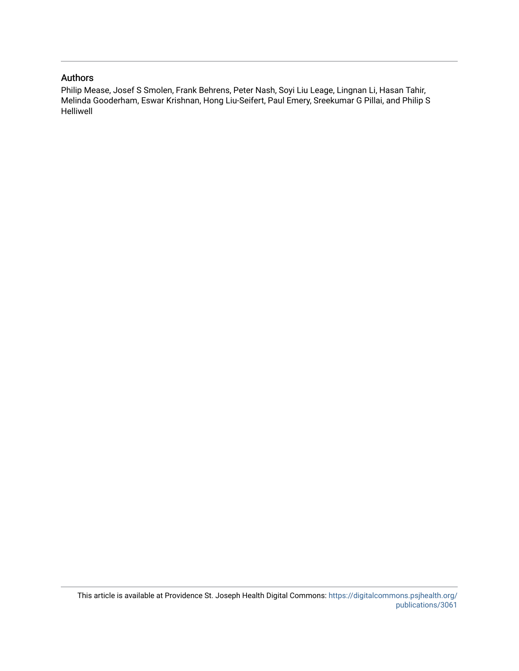## Authors

Philip Mease, Josef S Smolen, Frank Behrens, Peter Nash, Soyi Liu Leage, Lingnan Li, Hasan Tahir, Melinda Gooderham, Eswar Krishnan, Hong Liu-Seifert, Paul Emery, Sreekumar G Pillai, and Philip S Helliwell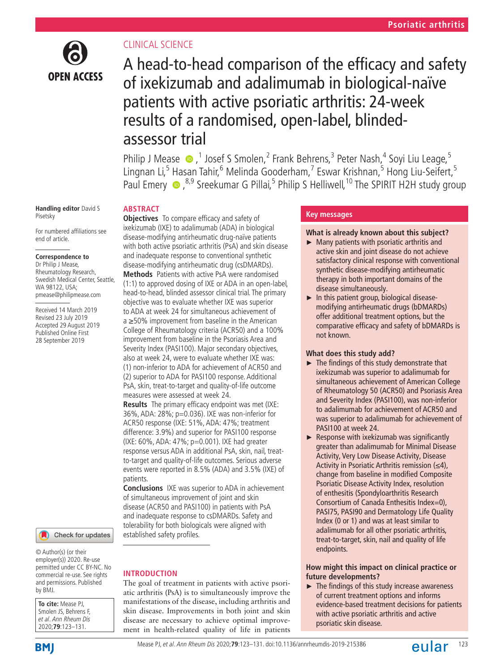

## Clinical science

**Abstract**

## A head-to-head comparison of the efficacy and safety of ixekizumab and adalimumab in biological-naïve patients with active psoriatic arthritis: 24-week results of a randomised, open-label, blindedassessor trial

Philip J Mease  $\bigcirc$ , <sup>1</sup> Josef S Smolen, 2 Frank Behrens, <sup>3</sup> Peter Nash, 4 Soyi Liu Leage, 5 Lingnan Li,<sup>5</sup> Hasan Tahir,<sup>6</sup> Melinda Gooderham,<sup>7</sup> Eswar Krishnan,<sup>5</sup> Hong Liu-Seifert,<sup>5</sup> PaulEmery  $\bullet$  ,<sup>8,9</sup> Sreekumar G Pillai,<sup>5</sup> Philip S Helliwell,<sup>10</sup> The SPIRIT H2H study group

#### **Handling editor** David S Pisetsky

For numbered affiliations see end of article.

#### **Correspondence to**

Dr Philip J Mease, Rheumatology Research, Swedish Medical Center, Seattle, WA 98122, USA; pmease@philipmease.com

Received 14 March 2019 Revised 23 July 2019 Accepted 29 August 2019 Published Online First 28 September 2019



© Author(s) (or their employer(s)) 2020. Re-use permitted under CC BY-NC. No commercial re-use. See rights and permissions. Published by BMJ.

**To cite:** Mease PJ, Smolen JS, Behrens F et al. Ann Rheum Dis 2020;**79**:123–131.

**Objectives** To compare efficacy and safety of ixekizumab (IXE) to adalimumab (ADA) in biological disease-modifying antirheumatic drug-naïve patients with both active psoriatic arthritis (PsA) and skin disease and inadequate response to conventional synthetic disease-modifying antirheumatic drug (csDMARDs). **Methods** Patients with active PsA were randomised (1:1) to approved dosing of IXE or ADA in an open-label, head-to-head, blinded assessor clinical trial. The primary objective was to evaluate whether IXE was superior to ADA at week 24 for simultaneous achievement of a ≥50% improvement from baseline in the American College of Rheumatology criteria (ACR50) and a 100% improvement from baseline in the Psoriasis Area and Severity Index (PASI100). Major secondary objectives, also at week 24, were to evaluate whether IXE was: (1) non-inferior to ADA for achievement of ACR50 and (2) superior to ADA for PASI100 response. Additional PsA, skin, treat-to-target and quality-of-life outcome measures were assessed at week 24.

**Results** The primary efficacy endpoint was met (IXE: 36%, ADA: 28%; p=0.036). IXE was non-inferior for ACR50 response (IXE: 51%, ADA: 47%; treatment difference: 3.9%) and superior for PASI100 response (IXE: 60%, ADA: 47%; p=0.001). IXE had greater response versus ADA in additional PsA, skin, nail, treatto-target and quality-of-life outcomes. Serious adverse events were reported in 8.5% (ADA) and 3.5% (IXE) of patients.

**Conclusions** IXE was superior to ADA in achievement of simultaneous improvement of joint and skin disease (ACR50 and PASI100) in patients with PsA and inadequate response to csDMARDs. Safety and tolerability for both biologicals were aligned with established safety profiles.

## **Introduction**

The goal of treatment in patients with active psoriatic arthritis (PsA) is to simultaneously improve the manifestations of the disease, including arthritis and skin disease. Improvements in both joint and skin disease are necessary to achieve optimal improvement in health-related quality of life in patients

## **Key messages**

#### **What is already known about this subject?**

- ► Many patients with psoriatic arthritis and active skin and joint disease do not achieve satisfactory clinical response with conventional synthetic disease-modifying antirheumatic therapy in both important domains of the disease simultaneously.
- $\blacktriangleright$  In this patient group, biological diseasemodifying antirheumatic drugs (bDMARDs) offer additional treatment options, but the comparative efficacy and safety of bDMARDs is not known.

### **What does this study add?**

- ► The findings of this study demonstrate that ixekizumab was superior to adalimumab for simultaneous achievement of American College of Rheumatology 50 (ACR50) and Psoriasis Area and Severity Index (PASI100), was non-inferior to adalimumab for achievement of ACR50 and was superior to adalimumab for achievement of PASI100 at week 24.
- ► Response with ixekizumab was significantly greater than adalimumab for Minimal Disease Activity, Very Low Disease Activity, Disease Activity in Psoriatic Arthritis remission  $(\leq 4)$ , change from baseline in modified Composite Psoriatic Disease Activity Index, resolution of enthesitis (Spondyloarthritis Research Consortium of Canada Enthesitis Index=0), PASI75, PASI90 and Dermatology Life Quality Index (0 or 1) and was at least similar to adalimumab for all other psoriatic arthritis, treat-to-target, skin, nail and quality of life endpoints.

### **How might this impact on clinical practice or future developments?**

► The findings of this study increase awareness of current treatment options and informs evidence-based treatment decisions for patients with active psoriatic arthritis and active psoriatic skin disease.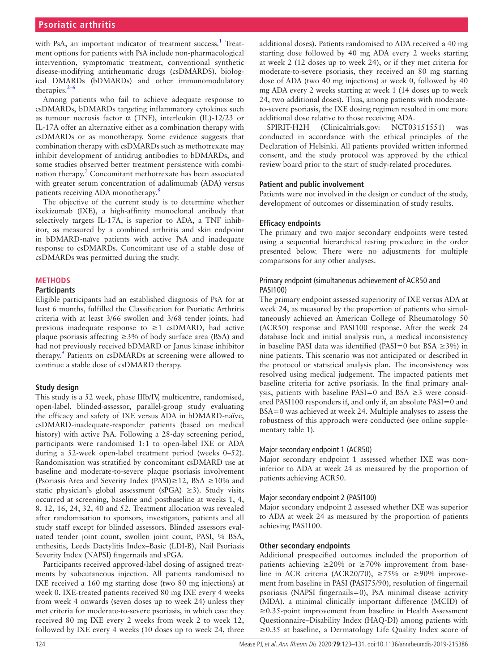## **Psoriatic arthritis**

with PsA, an important indicator of treatment success.<sup>[1](#page-9-0)</sup> Treatment options for patients with PsA include non-pharmacological intervention, symptomatic treatment, conventional synthetic disease-modifying antirheumatic drugs (csDMARDS), biological DMARDs (bDMARDs) and other immunomodulatory therapies.<sup>2-</sup>

Among patients who fail to achieve adequate response to csDMARDs, bDMARDs targeting inflammatory cytokines such as tumour necrosis factor  $\alpha$  (TNF), interleukin (IL)-12/23 or IL-17A offer an alternative either as a combination therapy with csDMARDs or as monotherapy. Some evidence suggests that combination therapy with csDMARDs such as methotrexate may inhibit development of antidrug antibodies to bDMARDs, and some studies observed better treatment persistence with combination therapy.<sup>7</sup> Concomitant methotrexate has been associated with greater serum concentration of adalimumab (ADA) versus patients receiving ADA monotherapy[.8](#page-9-3)

The objective of the current study is to determine whether ixekizumab (IXE), a high-affinity monoclonal antibody that selectively targets IL-17A, is superior to ADA, a TNF inhibitor, as measured by a combined arthritis and skin endpoint in bDMARD-naïve patients with active PsA and inadequate response to csDMARDs. Concomitant use of a stable dose of csDMARDs was permitted during the study.

#### **Methods**

#### **Participants**

Eligible participants had an established diagnosis of PsA for at least 6 months, fulfilled the Classification for Psoriatic Arthritis criteria with at least 3/66 swollen and 3/68 tender joints, had previous inadequate response to ≥1 csDMARD, had active plaque psoriasis affecting  $\geq$ 3% of body surface area (BSA) and had not previously received bDMARD or Janus kinase inhibitor therapy.<sup>[9](#page-9-4)</sup> Patients on csDMARDs at screening were allowed to continue a stable dose of csDMARD therapy.

#### **Study design**

This study is a 52 week, phase IIIb/IV, multicentre, randomised, open-label, blinded-assessor, parallel-group study evaluating the efficacy and safety of IXE versus ADA in bDMARD-naïve, csDMARD-inadequate-responder patients (based on medical history) with active PsA. Following a 28-day screening period, participants were randomised 1:1 to open-label IXE or ADA during a 52-week open-label treatment period (weeks 0–52). Randomisation was stratified by concomitant csDMARD use at baseline and moderate-to-severe plaque psoriasis involvement (Psoriasis Area and Severity Index (PASI)≥12, BSA ≥10% and static physician's global assessment (sPGA) ≥3). Study visits occurred at screening, baseline and postbaseline at weeks 1, 4, 8, 12, 16, 24, 32, 40 and 52. Treatment allocation was revealed after randomisation to sponsors, investigators, patients and all study staff except for blinded assessors. Blinded assessors evaluated tender joint count, swollen joint count, PASI, % BSA, enthesitis, Leeds Dactylitis Index–Basic (LDI-B), Nail Psoriasis Severity Index (NAPSI) fingernails and sPGA.

Participants received approved-label dosing of assigned treatments by subcutaneous injection. All patients randomised to IXE received a 160 mg starting dose (two 80 mg injections) at week 0. IXE-treated patients received 80 mg IXE every 4 weeks from week 4 onwards (seven doses up to week 24) unless they met criteria for moderate-to-severe psoriasis, in which case they received 80 mg IXE every 2 weeks from week 2 to week 12, followed by IXE every 4 weeks (10 doses up to week 24, three

additional doses). Patients randomised to ADA received a 40 mg starting dose followed by 40 mg ADA every 2 weeks starting at week 2 (12 doses up to week 24), or if they met criteria for moderate-to-severe psoriasis, they received an 80 mg starting dose of ADA (two 40 mg injections) at week 0, followed by 40 mg ADA every 2 weeks starting at week 1 (14 doses up to week 24, two additional doses). Thus, among patients with moderateto-severe psoriasis, the IXE dosing regimen resulted in one more additional dose relative to those receiving ADA.

SPIRIT-H2H (Clinicaltrials.gov: NCT03151551) was conducted in accordance with the ethical principles of the Declaration of Helsinki. All patients provided written informed consent, and the study protocol was approved by the ethical review board prior to the start of study-related procedures.

#### **Patient and public involvement**

Patients were not involved in the design or conduct of the study, development of outcomes or dissemination of study results.

#### **Efficacy endpoints**

The primary and two major secondary endpoints were tested using a sequential hierarchical testing procedure in the order presented below. There were no adjustments for multiple comparisons for any other analyses.

#### Primary endpoint (simultaneous achievement of ACR50 and PASI100)

The primary endpoint assessed superiority of IXE versus ADA at week 24, as measured by the proportion of patients who simultaneously achieved an American College of Rheumatology 50 (ACR50) response and PASI100 response. After the week 24 database lock and initial analysis run, a medical inconsistency in baseline PASI data was identified (PASI=0 but BSA ≥3%) in nine patients. This scenario was not anticipated or described in the protocol or statistical analysis plan. The inconsistency was resolved using medical judgement. The impacted patients met baseline criteria for active psoriasis. In the final primary analysis, patients with baseline PASI=0 and BSA ≥3 were considered PASI100 responders if, and only if, an absolute PASI=0 and BSA=0 was achieved at week 24. Multiple analyses to assess the robustness of this approach were conducted (see [online supple](https://dx.doi.org/10.1136/annrheumdis-2019-215386)[mentary table 1\)](https://dx.doi.org/10.1136/annrheumdis-2019-215386).

#### Major secondary endpoint 1 (ACR50)

Major secondary endpoint 1 assessed whether IXE was noninferior to ADA at week 24 as measured by the proportion of patients achieving ACR50.

#### Major secondary endpoint 2 (PASI100)

Major secondary endpoint 2 assessed whether IXE was superior to ADA at week 24 as measured by the proportion of patients achieving PASI100.

#### **Other secondary endpoints**

Additional prespecified outcomes included the proportion of patients achieving  $\geq$  20% or  $\geq$  70% improvement from baseline in ACR criteria (ACR20/70),  $\geq$ 75% or  $\geq$ 90% improvement from baseline in PASI (PASI75/90), resolution of fingernail psoriasis (NAPSI fingernails=0), PsA minimal disease activity (MDA), a minimal clinically important difference (MCID) of ≥0.35-point improvement from baseline in Health Assessment Questionnaire–Disability Index (HAQ-DI) among patients with ≥0.35 at baseline, a Dermatology Life Quality Index score of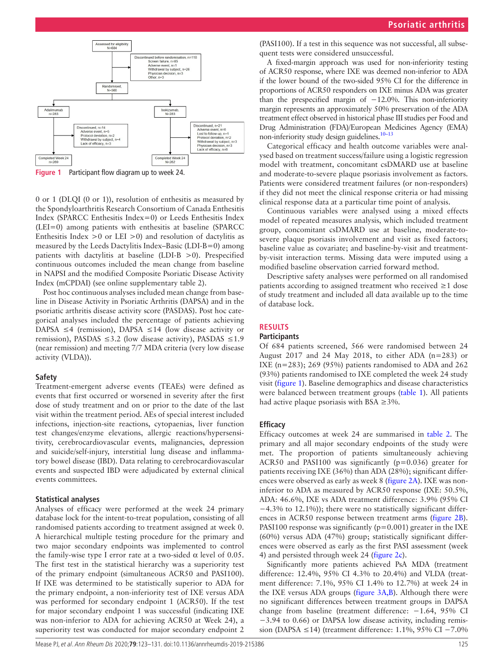

<span id="page-4-0"></span>**Figure 1** Participant flow diagram up to week 24.

0 or 1 (DLQI (0 or 1)), resolution of enthesitis as measured by the Spondyloarthritis Research Consortium of Canada Enthesitis Index (SPARCC Enthesitis Index=0) or Leeds Enthesitis Index (LEI=0) among patients with enthesitis at baseline (SPARCC Enthesitis Index  $>0$  or LEI  $>0$ ) and resolution of dactylitis as measured by the Leeds Dactylitis Index–Basic (LDI-B=0) among patients with dactylitis at baseline (LDI-B >0). Prespecified continuous outcomes included the mean change from baseline in NAPSI and the modified Composite Psoriatic Disease Activity Index (mCPDAI) (see [online supplementary table 2\)](https://dx.doi.org/10.1136/annrheumdis-2019-215386).

Post hoc continuous analyses included mean change from baseline in Disease Activity in Psoriatic Arthritis (DAPSA) and in the psoriatic arthritis disease activity score (PASDAS). Post hoc categorical analyses included the percentage of patients achieving DAPSA ≤4 (remission), DAPSA ≤14 (low disease activity or remission), PASDAS  $\leq$ 3.2 (low disease activity), PASDAS  $\leq$ 1.9 (near remission) and meeting 7/7 MDA criteria (very low disease activity (VLDA)).

#### **Safety**

Treatment-emergent adverse events (TEAEs) were defined as events that first occurred or worsened in severity after the first dose of study treatment and on or prior to the date of the last visit within the treatment period. AEs of special interest included infections, injection-site reactions, cytopaenias, liver function test changes/enzyme elevations, allergic reactions/hypersensitivity, cerebrocardiovascular events, malignancies, depression and suicide/self-injury, interstitial lung disease and inflammatory bowel disease (IBD). Data relating to cerebrocardiovascular events and suspected IBD were adjudicated by external clinical events committees.

#### **Statistical analyses**

Analyses of efficacy were performed at the week 24 primary database lock for the intent-to-treat population, consisting of all randomised patients according to treatment assigned at week 0. A hierarchical multiple testing procedure for the primary and two major secondary endpoints was implemented to control the family-wise type I error rate at a two-sided  $α$  level of 0.05. The first test in the statistical hierarchy was a superiority test of the primary endpoint (simultaneous ACR50 and PASI100). If IXE was determined to be statistically superior to ADA for the primary endpoint, a non-inferiority test of IXE versus ADA was performed for secondary endpoint 1 (ACR50). If the test for major secondary endpoint 1 was successful (indicating IXE was non-inferior to ADA for achieving ACR50 at Week 24), a superiority test was conducted for major secondary endpoint 2

(PASI100). If a test in this sequence was not successful, all subsequent tests were considered unsuccessful.

A fixed-margin approach was used for non-inferiority testing of ACR50 response, where IXE was deemed non-inferior to ADA if the lower bound of the two-sided 95% CI for the difference in proportions of ACR50 responders on IXE minus ADA was greater than the prespecified margin of  $-12.0\%$ . This non-inferiority margin represents an approximately 50% preservation of the ADA treatment effect observed in historical phase III studies per Food and Drug Administration (FDA)/European Medicines Agency (EMA) non-inferiority study design guidelines.<sup>10-13</sup>

Categorical efficacy and health outcome variables were analysed based on treatment success/failure using a logistic regression model with treatment, concomitant csDMARD use at baseline and moderate-to-severe plaque psoriasis involvement as factors. Patients were considered treatment failures (or non-responders) if they did not meet the clinical response criteria or had missing clinical response data at a particular time point of analysis.

Continuous variables were analysed using a mixed effects model of repeated measures analysis, which included treatment group, concomitant csDMARD use at baseline, moderate-tosevere plaque psoriasis involvement and visit as fixed factors; baseline value as covariate; and baseline-by-visit and treatmentby-visit interaction terms. Missing data were imputed using a modified baseline observation carried forward method.

Descriptive safety analyses were performed on all randomised patients according to assigned treatment who received ≥1 dose of study treatment and included all data available up to the time of database lock.

#### **Results**

#### **Participants**

Of 684 patients screened, 566 were randomised between 24 August 2017 and 24 May 2018, to either ADA  $(n=283)$  or IXE (n=283); 269 (95%) patients randomised to ADA and 262 (93%) patients randomised to IXE completed the week 24 study visit ([figure](#page-4-0) 1). Baseline demographics and disease characteristics were balanced between treatment groups ([table](#page-5-0) 1). All patients had active plaque psoriasis with BSA  $\geq$ 3%.

#### **Efficacy**

Efficacy outcomes at week 24 are summarised in [table](#page-6-0) 2. The primary and all major secondary endpoints of the study were met. The proportion of patients simultaneously achieving ACR50 and PASI100 was significantly (p=0.036) greater for patients receiving IXE (36%) than ADA (28%); significant differences were observed as early as week 8 [\(figure](#page-7-0) 2A). IXE was noninferior to ADA as measured by ACR50 response (IXE: 50.5%, ADA: 46.6%, IXE vs ADA treatment difference: 3.9% (95% CI −4.3% to 12.1%)); there were no statistically significant differences in ACR50 response between treatment arms ([figure](#page-7-0) 2B). PASI100 response was significantly ( $p=0.001$ ) greater in the IXE (60%) versus ADA (47%) group; statistically significant differences were observed as early as the first PASI assessment (week 4) and persisted through week 24 ([figure](#page-7-0) 2c).

Significantly more patients achieved PsA MDA (treatment difference: 12.4%, 95% CI 4.3% to 20.4%) and VLDA (treatment difference: 7.1%, 95% CI 1.4% to 12.7%) at week 24 in the IXE versus ADA groups ([figure](#page-7-1) 3A,B). Although there were no significant differences between treatment groups in DAPSA change from baseline (treatment difference: −1.64, 95% CI −3.94 to 0.66) or DAPSA low disease activity, including remission (DAPSA ≤14) (treatment difference: 1.1%, 95% CI −7.0%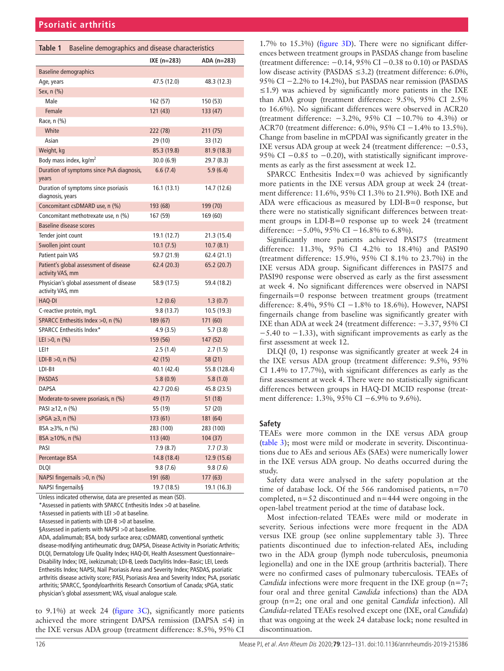<span id="page-5-0"></span>

| Table 1                                                      | Baseline demographics and disease characteristics |             |              |  |  |  |  |
|--------------------------------------------------------------|---------------------------------------------------|-------------|--------------|--|--|--|--|
|                                                              |                                                   | IXE (n=283) | $ADA(n=283)$ |  |  |  |  |
| <b>Baseline demographics</b>                                 |                                                   |             |              |  |  |  |  |
| Age, years                                                   |                                                   | 47.5 (12.0) | 48.3 (12.3)  |  |  |  |  |
| Sex, n (%)                                                   |                                                   |             |              |  |  |  |  |
| Male                                                         |                                                   | 162 (57)    | 150 (53)     |  |  |  |  |
| Female                                                       |                                                   | 121(43)     | 133 (47)     |  |  |  |  |
| Race, n (%)                                                  |                                                   |             |              |  |  |  |  |
| White                                                        |                                                   | 222 (78)    | 211 (75)     |  |  |  |  |
| Asian                                                        |                                                   | 29 (10)     | 33 (12)      |  |  |  |  |
| Weight, kg                                                   |                                                   | 85.3 (19.8) | 81.9 (18.3)  |  |  |  |  |
| Body mass index, kg/m <sup>2</sup>                           |                                                   | 30.0(6.9)   | 29.7 (8.3)   |  |  |  |  |
| years                                                        | Duration of symptoms since PsA diagnosis,         | 6.6(7.4)    | 5.9(6.4)     |  |  |  |  |
| Duration of symptoms since psoriasis<br>diagnosis, years     |                                                   | 16.1(13.1)  | 14.7 (12.6)  |  |  |  |  |
| Concomitant csDMARD use, n (%)                               |                                                   | 193 (68)    | 199 (70)     |  |  |  |  |
|                                                              | Concomitant methotrexate use, n (%)               | 167 (59)    | 169 (60)     |  |  |  |  |
| <b>Baseline disease scores</b>                               |                                                   |             |              |  |  |  |  |
| Tender joint count                                           |                                                   | 19.1 (12.7) | 21.3 (15.4)  |  |  |  |  |
| Swollen joint count                                          |                                                   | 10.1(7.5)   | 10.7(8.1)    |  |  |  |  |
| Patient pain VAS                                             |                                                   | 59.7 (21.9) | 62.4 (21.1)  |  |  |  |  |
| Patient's global assessment of disease<br>activity VAS, mm   |                                                   | 62.4(20.3)  | 65.2(20.7)   |  |  |  |  |
| Physician's global assessment of disease<br>activity VAS, mm |                                                   | 58.9 (17.5) | 59.4 (18.2)  |  |  |  |  |
| HAQ-DI                                                       |                                                   | 1.2(0.6)    | 1.3(0.7)     |  |  |  |  |
| C-reactive protein, mg/L                                     |                                                   | 9.8(13.7)   | 10.5 (19.3)  |  |  |  |  |
|                                                              | SPARCC Enthesitis Index >0, n (%)                 | 189 (67)    | 171 (60)     |  |  |  |  |
| SPARCC Enthesitis Index*                                     |                                                   | 4.9(3.5)    | 5.7(3.8)     |  |  |  |  |
| LEI $>0$ , n $(\%)$                                          |                                                   | 159 (56)    | 147 (52)     |  |  |  |  |
| LEI†                                                         |                                                   | 2.5(1.4)    | 2.7(1.5)     |  |  |  |  |
| LDI-B $>0$ , n $(\%)$                                        |                                                   | 42 (15)     | 58 (21)      |  |  |  |  |
| $LDI-B#$                                                     |                                                   | 40.1 (42.4) | 55.8 (128.4) |  |  |  |  |
| <b>PASDAS</b>                                                |                                                   | 5.8(0.9)    | 5.8(1.0)     |  |  |  |  |
| <b>DAPSA</b>                                                 |                                                   | 42.7 (20.6) | 45.8 (23.5)  |  |  |  |  |
| Moderate-to-severe psoriasis, n (%)                          |                                                   | 49 (17)     | 51 (18)      |  |  |  |  |
| PASI ≥12, n (%)                                              |                                                   | 55 (19)     | 57 (20)      |  |  |  |  |
| $sPGA \geq 3$ , n $(\%)$                                     |                                                   | 173 (61)    | 181 (64)     |  |  |  |  |
| BSA ≥3%, n (%)                                               |                                                   | 283 (100)   | 283 (100)    |  |  |  |  |
| $BSA \ge 10\%$ , n $(\%)$                                    |                                                   | 113 (40)    | 104(37)      |  |  |  |  |
| PASI                                                         |                                                   | 7.9(8.7)    | 7.7(7.3)     |  |  |  |  |
| Percentage BSA                                               |                                                   | 14.8 (18.4) | 12.9 (15.6)  |  |  |  |  |
| DLQI                                                         |                                                   | 9.8 (7.6)   | 9.8(7.6)     |  |  |  |  |
| NAPSI fingernails >0, n (%)                                  |                                                   | 191 (68)    | 177(63)      |  |  |  |  |
| NAPSI fingernails§                                           |                                                   | 19.7 (18.5) | 19.1 (16.3)  |  |  |  |  |

Unless indicated otherwise, data are presented as mean (SD).

\*Assessed in patients with SPARCC Enthesitis Index >0 at baseline.

†Assessed in patients with LEI >0 at baseline.

‡Assessed in patients with LDI-B >0 at baseline.

§Assessed in patients with NAPSI > 0 at baseline.

ADA, adalimumab; BSA, body surface area; csDMARD, conventional synthetic disease-modifying antirheumatic drug; DAPSA, Disease Activity in Psoriatic Arthritis; DLQI, Dermatology Life Quality Index; HAQ-DI, Health Assessment Questionnaire– Disability Index; IXE, ixekizumab; LDI-B, Leeds Dactylitis Index–Basic; LEI, Leeds Enthesitis Index; NAPSI, Nail Psoriasis Area and Severity Index; PASDAS, psoriatic arthritis disease activity score; PASI, Psoriasis Area and Severity Index; PsA, psoriatic arthritis; SPARCC, Spondyloarthritis Research Consortium of Canada; sPGA, static physician's global assessment; VAS, visual analogue scale.

to 9.1%) at week 24 ([figure](#page-7-1)  $3C$ ), significantly more patients achieved the more stringent DAPSA remission (DAPSA ≤4) in the IXE versus ADA group (treatment difference: 8.5%, 95% CI

1.7% to 15.3%) ([figure](#page-7-1) 3D). There were no significant differences between treatment groups in PASDAS change from baseline (treatment difference: −0.14, 95% CI −0.38 to 0.10) or PASDAS low disease activity (PASDAS ≤3.2) (treatment difference: 6.0%, 95% CI −2.2% to 14.2%), but PASDAS near remission (PASDAS  $\leq$ 1.9) was achieved by significantly more patients in the IXE than ADA group (treatment difference: 9.5%, 95% CI 2.5% to 16.6%). No significant differences were observed in ACR20 (treatment difference: −3.2%, 95% CI −10.7% to 4.3%) or ACR70 (treatment difference: 6.0%, 95% CI −1.4% to 13.5%). Change from baseline in mCPDAI was significantly greater in the IXE versus ADA group at week 24 (treatment difference: −0.53, 95% CI −0.85 to −0.20), with statistically significant improvements as early as the first assessment at week 12.

SPARCC Enthesitis Index=0 was achieved by significantly more patients in the IXE versus ADA group at week 24 (treatment difference: 11.6%, 95% CI 1.3% to 21.9%). Both IXE and ADA were efficacious as measured by LDI-B=0 response, but there were no statistically significant differences between treatment groups in LDI-B=0 response up to week 24 (treatment difference:  $-5.0\%$ , 95% CI  $-16.8\%$  to 6.8%).

Significantly more patients achieved PASI75 (treatment difference: 11.3%, 95% CI 4.2% to 18.4%) and PASI90 (treatment difference: 15.9%, 95% CI 8.1% to 23.7%) in the IXE versus ADA group. Significant differences in PASI75 and PASI90 response were observed as early as the first assessment at week 4. No significant differences were observed in NAPSI fingernails=0 response between treatment groups (treatment difference: 8.4%, 95% CI −1.8% to 18.6%). However, NAPSI fingernails change from baseline was significantly greater with IXE than ADA at week 24 (treatment difference: −3.37, 95% CI −5.40 to −1.33), with significant improvements as early as the first assessment at week 12.

DLQI (0, 1) response was significantly greater at week 24 in the IXE versus ADA group (treatment difference: 9.5%, 95% CI 1.4% to 17.7%), with significant differences as early as the first assessment at week 4. There were no statistically significant differences between groups in HAQ-DI MCID response (treatment difference: 1.3%, 95% CI −6.9% to 9.6%).

#### **Safety**

TEAEs were more common in the IXE versus ADA group ([table](#page-8-0) 3); most were mild or moderate in severity. Discontinuations due to AEs and serious AEs (SAEs) were numerically lower in the IXE versus ADA group. No deaths occurred during the study.

Safety data were analysed in the safety population at the time of database lock. Of the 566 randomised patients,  $n=70$ completed,  $n=52$  discontinued and  $n=444$  were ongoing in the open-label treatment period at the time of database lock.

Most infection-related TEAEs were mild or moderate in severity. Serious infections were more frequent in the ADA versus IXE group (see [online supplementary table 3](https://dx.doi.org/10.1136/annrheumdis-2019-215386)). Three patients discontinued due to infection-related AEs, including two in the ADA group (lymph node tuberculosis, pneumonia legionella) and one in the IXE group (arthritis bacterial). There were no confirmed cases of pulmonary tuberculosis. TEAEs of *Candida* infections were more frequent in the IXE group (n=7; four oral and three genital *Candida* infections) than the ADA group (n=2; one oral and one genital *Candida* infection). All *Candida*-related TEAEs resolved except one (IXE, oral *Candida*) that was ongoing at the week 24 database lock; none resulted in discontinuation.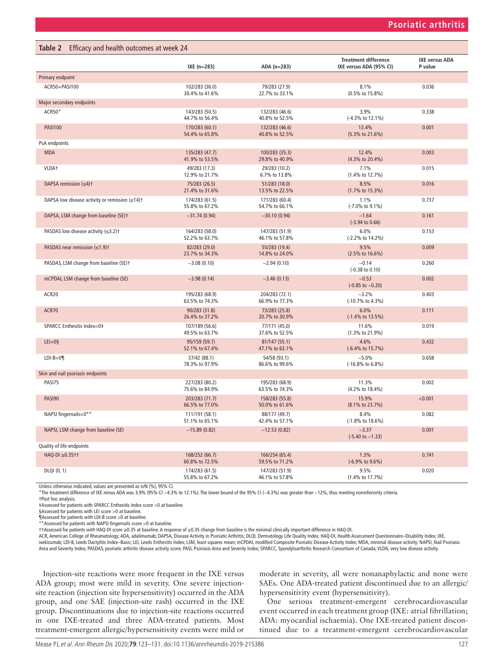<span id="page-6-0"></span>

|                                                                  | IXE $(n=283)$                    | ADA (n=283)                      | <b>Treatment difference</b><br>IXE versus ADA (95% CI) | <b>IXE versus ADA</b><br>P value |
|------------------------------------------------------------------|----------------------------------|----------------------------------|--------------------------------------------------------|----------------------------------|
| Primary endpoint                                                 |                                  |                                  |                                                        |                                  |
| ACR50+PASI100                                                    | 102/283 (36.0)<br>30.4% to 41.6% | 79/283 (27.9)<br>22.7% to 33.1%  | 8.1%<br>(0.5% to 15.8%)                                | 0.036                            |
| Major secondary endpoints                                        |                                  |                                  |                                                        |                                  |
| ACR50*                                                           | 143/283 (50.5)<br>44.7% to 56.4% | 132/283 (46.6)<br>40.8% to 52.5% | 3.9%<br>(-4.3% to 12.1%)                               | 0.338                            |
| <b>PASI100</b>                                                   | 170/283 (60.1)<br>54.4% to 65.8% | 132/283 (46.6)<br>40.8% to 52.5% | 13.4%<br>$(5.3\% \text{ to } 21.6\%)$                  | 0.001                            |
| PsA endpoints                                                    |                                  |                                  |                                                        |                                  |
| <b>MDA</b>                                                       | 135/283 (47.7)<br>41.9% to 53.5% | 100/283 (35.3)<br>29.8% to 40.9% | 12.4%<br>$(4.3\% \text{ to } 20.4\%)$                  | 0.003                            |
| VLDA <sup>+</sup>                                                | 49/283 (17.3)<br>12.9% to 21.7%  | 29/283 (10.2)<br>6.7% to 13.8%   | 7.1%<br>$(1.4\% \text{ to } 12.7\%)$                   | 0.015                            |
| DAPSA remission $(\leq 4)$ <sup>+</sup>                          | 75/283 (26.5)<br>21.4% to 31.6%  | 51/283 (18.0)<br>13.5% to 22.5%  | 8.5%<br>$(1.7\% \text{ to } 15.3\%)$                   | 0.016                            |
| DAPSA low disease activity or remission $(\leq 14)$ <sup>+</sup> | 174/283 (61.5)<br>55.8% to 67.2% | 171/283 (60.4)<br>54.7% to 66.1% | 1.1%<br>$(-7.0\% \text{ to } 9.1\%)$                   | 0.737                            |
| DAPSA, LSM change from baseline (SE)t                            | $-31.74(0.94)$                   | $-30.10(0.94)$                   | $-1.64$<br>$(-3.94 \text{ to } 0.66)$                  | 0.161                            |
| PASDAS low disease activity $(\leq 3.2)$ <sup>+</sup>            | 164/283 (58.0)<br>52.2% to 63.7% | 147/283 (51.9)<br>46.1% to 57.8% | 6.0%<br>(-2.2% to 14.2%)                               | 0.153                            |
| PASDAS near remission $(\leq 1.9)$ <sup>+</sup>                  | 82/283 (29.0)<br>23.7% to 34.3%  | 55/283 (19.4)<br>14.8% to 24.0%  | 9.5%<br>$(2.5\% \text{ to } 16.6\%)$                   | 0.009                            |
| PASDAS, LSM change from baseline (SE)t                           | $-3.08(0.10)$                    | $-2.94(0.10)$                    | $-0.14$<br>$(-0.38 \text{ to } 0.10)$                  | 0.260                            |
| mCPDAI, LSM change from baseline (SE)                            | $-3.98(0.14)$                    | $-3.46(0.13)$                    | $-0.53$<br>$(-0.85 \text{ to } -0.20)$                 | 0.002                            |
| ACR20                                                            | 195/283 (68.9)<br>63.5% to 74.3% | 204/283 (72.1)<br>66.9% to 77.3% | $-3.2%$<br>(-10.7% to 4.3%)                            | 0.403                            |
| ACR70                                                            | 90/283 (31.8)<br>26.4% to 37.2%  | 73/283 (25.8)<br>20.7% to 30.9%  | 6.0%<br>$(-1.4\% \text{ to } 13.5\%)$                  | 0.111                            |
| SPARCC Enthesitis Index=0‡                                       | 107/189 (56.6)<br>49.5% to 63.7% | 77/171 (45.0)<br>37.6% to 52.5%  | 11.6%<br>$(1.3\% \text{ to } 21.9\%)$                  | 0.019                            |
| $LEI = 0$ §                                                      | 95/159 (59.7)<br>52.1% to 67.4%  | 81/147 (55.1)<br>47.1% to 63.1%  | 4.6%<br>(-6.4% to 15.7%)                               | 0.432                            |
| $LDI-B=0$                                                        | 37/42 (88.1)<br>78.3% to 97.9%   | 54/58 (93.1)<br>86.6% to 99.6%   | $-5.0%$<br>(-16.8% to 6.8%)                            | 0.658                            |
| Skin and nail psoriasis endpoints                                |                                  |                                  |                                                        |                                  |
| PASI75                                                           | 227/283 (80.2)<br>75.6% to 84.9% | 195/283 (68.9)<br>63.5% to 74.3% | 11.3%<br>$(4.2\% \text{ to } 18.4\%)$                  | 0.002                            |
| PASI90                                                           | 203/283 (71.7)<br>66.5% to 77.0% | 158/283 (55.8)<br>50.0% to 61.6% | 15.9%<br>(8.1% to 23.7%)                               | < 0.001                          |
| NAPSI fingernails=0**                                            | 111/191 (58.1)<br>51.1% to 65.1% | 88/177 (49.7)<br>42.4% to 57.1%  | 8.4%<br>(-1.8% to 18.6%)                               | 0.082                            |
| NAPSI, LSM change from baseline (SE)                             | $-15.89(0.82)$                   | $-12.53(0.82)$                   | $-3.37$<br>$(-5.40 \text{ to } -1.33)$                 | 0.001                            |
| Quality of life endpoints                                        |                                  |                                  |                                                        |                                  |
| $HAQ-DI \geq 0.35$ tt                                            | 168/252 (66.7)<br>60.8% to 72.5% | 166/254 (65.4)<br>59.5% to 71.2% | 1.3%<br>(-6.9% to 9.6%)                                | 0.741                            |
| DLQI (0, 1)                                                      | 174/283 (61.5)<br>55.8% to 67.2% | 147/283 (51.9)<br>46.1% to 57.8% | 9.5%<br>$(1.4\% \text{ to } 17.7\%)$                   | 0.020                            |

†Post hoc analysis.

‡Assessed for patients with SPARCC Enthesitis Index score >0 at baseline.

§Assessed for patients with LEI score >0 at baseline.

¶Assessed for patients with LDI-B score >0 at baseline. \*\*Assessed for patients with NAPSI fingernails score >0 at baseline.

††Assessed for patients with HAQ-DI score ≥0.35 at baseline. A response of ≥0.35 change from baseline is the minimal clinically important difference in HAQ-DI.

ACR, American College of Rheumatology; ADA, adalimumab; DAPSA, Disease Activity in Psoriatic Arthritis; DLQI, Dermatology Life Quality Index; HAQ-DI, Health Assessment Questionnaire–Disability Index; IXE, ixekizumab; LDI-B, Leeds Dactylitis Index–Basic; LEI, Leeds Enthesitis Index; LSM, least squares mean; mCPDAI, modified Composite Psoriatic Disease Activity Index; MDA, minimal disease activity; NAPSI, Nail Psoriasis<br>Area

Injection-site reactions were more frequent in the IXE versus ADA group; most were mild in severity. One severe injectionsite reaction (injection site hypersensitivity) occurred in the ADA group, and one SAE (injection-site rash) occurred in the IXE group. Discontinuations due to injection-site reactions occurred in one IXE-treated and three ADA-treated patients. Most treatment-emergent allergic/hypersensitivity events were mild or

moderate in severity, all were nonanaphylactic and none were SAEs. One ADA-treated patient discontinued due to an allergic/ hypersensitivity event (hypersensitivity).

One serious treatment-emergent cerebrocardiovascular event occurred in each treatment group (IXE: atrial fibrillation; ADA: myocardial ischaemia). One IXE-treated patient discontinued due to a treatment-emergent cerebrocardiovascular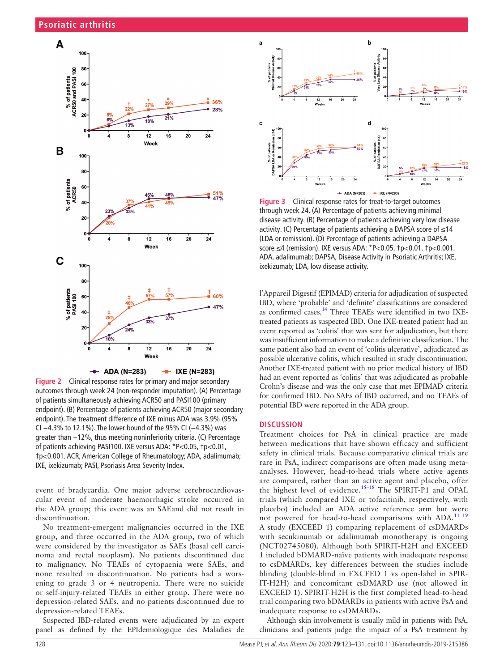

<span id="page-7-0"></span>**Figure 2** Clinical response rates for primary and major secondary outcomes through week 24 (non-responder imputation). (A) Percentage of patients simultaneously achieving ACR50 and PASI100 (primary endpoint). (B) Percentage of patients achieving ACR50 (major secondary endpoint). The treatment difference of IXE minus ADA was 3.9% (95% CI −4.3% to 12.1%). The lower bound of the 95% CI (−4.3%) was greater than −12%, thus meeting noninferiority criteria. (C) Percentage of patients achieving PASI100. IXE versus ADA: \*P<0.05, †p<0.01, ‡p<0.001. ACR, American College of Rheumatology; ADA, adalimumab; IXE, ixekizumab; PASI, Psoriasis Area Severity Index.

event of bradycardia. One major adverse cerebrocardiovascular event of moderate haemorrhagic stroke occurred in the ADA group; this event was an SAEand did not result in discontinuation.

No treatment-emergent malignancies occurred in the IXE group, and three occurred in the ADA group, two of which were considered by the investigator as SAEs (basal cell carcinoma and rectal neoplasm). No patients discontinued due to malignancy. No TEAEs of cytopaenia were SAEs, and none resulted in discontinuation. No patients had a worsening to grade 3 or 4 neutropenia. There were no suicide or self-injury-related TEAEs in either group. There were no depression-related SAEs, and no patients discontinued due to depression-related TEAEs.

Suspected IBD-related events were adjudicated by an expert panel as defined by the EPIdemiologique des Maladies de



<span id="page-7-1"></span>**Figure 3** Clinical response rates for treat-to-target outcomes through week 24. (A) Percentage of patients achieving minimal disease activity. (B) Percentage of patients achieving very low disease activity. (C) Percentage of patients achieving a DAPSA score of ≤14 (LDA or remission). (D) Percentage of patients achieving a DAPSA score ≤4 (remission). IXE versus ADA: \*P<0.05, †p<0.01, ‡p<0.001. ADA, adalimumab; DAPSA, Disease Activity in Psoriatic Arthritis; IXE, ixekizumab; LDA, low disease activity.

l'Appareil Digestif (EPIMAD) criteria for adjudication of suspected IBD, where 'probable' and 'definite' classifications are considered as confirmed cases[.14](#page-9-6) Three TEAEs were identified in two IXEtreated patients as suspected IBD. One IXE-treated patient had an event reported as 'colitis' that was sent for adjudication, but there was insufficient information to make a definitive classification. The same patient also had an event of 'colitis ulcerative', adjudicated as possible ulcerative colitis, which resulted in study discontinuation. Another IXE-treated patient with no prior medical history of IBD had an event reported as 'colitis' that was adjudicated as probable Crohn's disease and was the only case that met EPIMAD criteria for confirmed IBD. No SAEs of IBD occurred, and no TEAEs of potential IBD were reported in the ADA group.

#### **Discussion**

Treatment choices for PsA in clinical practice are made between medications that have shown efficacy and sufficient safety in clinical trials. Because comparative clinical trials are rare in PsA, indirect comparisons are often made using metaanalyses. However, head-to-head trials where active agents are compared, rather than an active agent and placebo, offer the highest level of evidence.<sup>15-18</sup> The SPIRIT-P1 and OPAL trials (which compared IXE or tofacitinib, respectively, with placebo) included an ADA active reference arm but were not powered for head-to-head comparisons with ADA.<sup>[11 19](#page-9-8)</sup> A study (EXCEED 1) comparing replacement of csDMARDs with secukinumab or adalimumab monotherapy is ongoing (NCT02745080). Although both SPIRIT-H2H and EXCEED 1 included bDMARD-naïve patients with inadequate response to csDMARDs, key differences between the studies include blinding (double-blind in EXCEED 1 vs open-label in SPIR-IT-H2H) and concomitant csDMARD use (not allowed in EXCEED 1). SPIRIT-H2H is the first completed head-to-head trial comparing two bDMARDs in patients with active PsA and inadequate response to csDMARDs.

Although skin involvement is usually mild in patients with PsA, clinicians and patients judge the impact of a PsA treatment by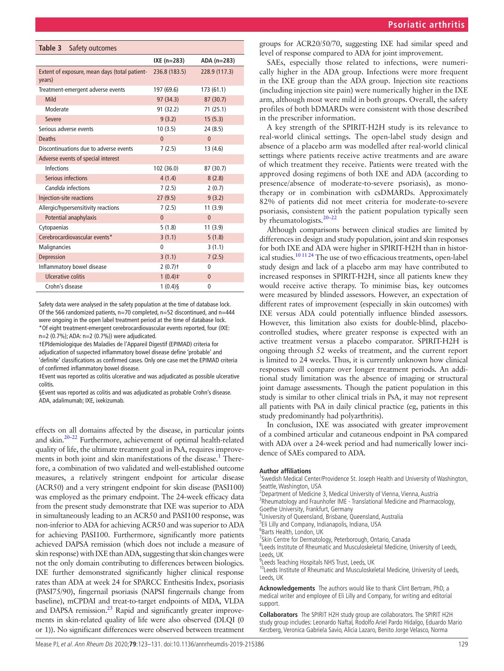<span id="page-8-0"></span>

| Table 3<br>Safety outcomes                              |                       |               |  |
|---------------------------------------------------------|-----------------------|---------------|--|
|                                                         | IXE $(n=283)$         | $ADA(n=283)$  |  |
| Extent of exposure, mean days (total patient-<br>years) | 236.8 (183.5)         | 228.9 (117.3) |  |
| Treatment-emergent adverse events                       | 197 (69.6)            | 173 (61.1)    |  |
| Mild                                                    | 97 (34.3)             | 87(30.7)      |  |
| Moderate                                                | 91 (32.2)             | 71(25.1)      |  |
| Severe                                                  | 9(3.2)                | 15(5.3)       |  |
| Serious adverse events                                  | 10(3.5)               | 24(8.5)       |  |
| <b>Deaths</b>                                           | $\mathbf{0}$          | $\mathbf{0}$  |  |
| Discontinuations due to adverse events                  | 7(2.5)                | 13(4.6)       |  |
| Adverse events of special interest                      |                       |               |  |
| Infections                                              | 102 (36.0)            | 87 (30.7)     |  |
| Serious infections                                      | 4(1.4)                | 8(2.8)        |  |
| Candida infections                                      | 7(2.5)                | 2(0.7)        |  |
| Injection-site reactions                                | 27(9.5)               | 9(3.2)        |  |
| Allergic/hypersensitivity reactions                     | 7(2.5)                | 11(3.9)       |  |
| Potential anaphylaxis                                   | $\mathbf{0}$          | $\mathbf{0}$  |  |
| Cytopaenias                                             | 5(1.8)                | 11(3.9)       |  |
| Cerebrocardiovascular events*                           | 3(1.1)                | 5(1.8)        |  |
| Malignancies                                            | 0                     | 3(1.1)        |  |
| Depression                                              | 3(1.1)                | 7(2.5)        |  |
| Inflammatory bowel disease                              | $2(0.7)$ <sup>+</sup> | 0             |  |
| Ulcerative colitis                                      | $1(0.4)$ <sup>+</sup> | $\mathbf{0}$  |  |
| Crohn's disease                                         | $1(0.4)$ §            | 0             |  |

Safety data were analysed in the safety population at the time of database lock. Of the 566 randomized patients, n=70 completed, n=52 discontinued, and n=444 were ongoing in the open label treatment period at the time of database lock. \*Of eight treatment-emergent cerebrocardiovascular events reported, four (IXE: n=2 (0.7%); ADA: n=2 (0.7%)) were adjudicated.

†EPIdemiologique des Maladies de l'Appareil Digestif (EPIMAD) criteria for adjudication of suspected inflammatory bowel disease define 'probable' and 'definite' classifications as confirmed cases. Only one case met the EPIMAD criteria of confirmed inflammatory bowel disease.

‡Event was reported as colitis ulcerative and was adjudicated as possible ulcerative colitis.

§Event was reported as colitis and was adjudicated as probable Crohn's disease. ADA, adalimumab; IXE, ixekizumab.

effects on all domains affected by the disease, in particular joints and skin[.20–22](#page-9-9) Furthermore, achievement of optimal health-related quality of life, the ultimate treatment goal in PsA, requires improve-ments in both joint and skin manifestations of the disease.<sup>[1](#page-9-0)</sup> Therefore, a combination of two validated and well-established outcome measures, a relatively stringent endpoint for articular disease (ACR50) and a very stringent endpoint for skin disease (PASI100) was employed as the primary endpoint. The 24-week efficacy data from the present study demonstrate that IXE was superior to ADA in simultaneously leading to an ACR50 and PASI100 response, was non-inferior to ADA for achieving ACR50 and was superior to ADA for achieving PASI100. Furthermore, significantly more patients achieved DAPSA remission (which does not include a measure of skin response) with IXE than ADA, suggesting that skin changes were not the only domain contributing to differences between biologics. IXE further demonstrated significantly higher clinical response rates than ADA at week 24 for SPARCC Enthesitis Index, psoriasis (PASI75/90), fingernail psoriasis (NAPSI fingernails change from baseline), mCPDAI and treat-to-target endpoints of MDA, VLDA and DAPSA remission.<sup>23</sup> Rapid and significantly greater improvements in skin-related quality of life were also observed (DLQI (0 or 1)). No significant differences were observed between treatment

groups for ACR20/50/70, suggesting IXE had similar speed and level of response compared to ADA for joint improvement.

SAEs, especially those related to infections, were numerically higher in the ADA group. Infections were more frequent in the IXE group than the ADA group. Injection site reactions (including injection site pain) were numerically higher in the IXE arm, although most were mild in both groups. Overall, the safety profiles of both bDMARDs were consistent with those described in the prescriber information.

A key strength of the SPIRIT-H2H study is its relevance to real-world clinical settings. The open-label study design and absence of a placebo arm was modelled after real-world clinical settings where patients receive active treatments and are aware of which treatment they receive. Patients were treated with the approved dosing regimens of both IXE and ADA (according to presence/absence of moderate-to-severe psoriasis), as monotherapy or in combination with csDMARDs. Approximately 82% of patients did not meet criteria for moderate-to-severe psoriasis, consistent with the patient population typically seen by rheumatologists. $20-22$ 

Although comparisons between clinical studies are limited by differences in design and study population, joint and skin responses for both IXE and ADA were higher in SPIRIT-H2H than in historical studies[.10 11 24](#page-9-5) The use of two efficacious treatments, open-label study design and lack of a placebo arm may have contributed to increased responses in SPIRIT-H2H, since all patients knew they would receive active therapy. To minimise bias, key outcomes were measured by blinded assessors. However, an expectation of different rates of improvement (especially in skin outcomes) with IXE versus ADA could potentially influence blinded assessors. However, this limitation also exists for double-blind, placebocontrolled studies, where greater response is expected with an active treatment versus a placebo comparator. SPIRIT-H2H is ongoing through 52 weeks of treatment, and the current report is limited to 24 weeks. Thus, it is currently unknown how clinical responses will compare over longer treatment periods. An additional study limitation was the absence of imaging or structural joint damage assessments. Though the patient population in this study is similar to other clinical trials in PsA, it may not represent all patients with PsA in daily clinical practice (eg, patients in this study predominantly had polyarthritis).

In conclusion, IXE was associated with greater improvement of a combined articular and cutaneous endpoint in PsA compared with ADA over a 24-week period and had numerically lower incidence of SAEs compared to ADA.

#### **Author affiliations**

<sup>1</sup>Swedish Medical Center/Providence St. Joseph Health and University of Washington, Seattle, Washington, USA <sup>2</sup>

 $2$ Department of Medicine 3, Medical University of Vienna, Vienna, Austria

<sup>3</sup>Rheumatology and Fraunhofer IME - Translational Medicine and Pharmacology, Goethe University, Frankfurt, Germany

<sup>4</sup> University of Queensland, Brisbane, Queensland, Australia

<sup>5</sup>Eli Lilly and Company, Indianapolis, Indiana, USA

<sup>6</sup>Barts Health, London, UK

 $7$ Skin Centre for Dermatology, Peterborough, Ontario, Canada

Leeds Institute of Rheumatic and Musculoskeletal Medicine, University of Leeds, Leeds, UK

<sup>9</sup> Leeds Teaching Hospitals NHS Trust, Leeds, UK

<sup>10</sup>Leeds Institute of Rheumatic and Musculoskeletal Medicine, University of Leeds, Leeds, UK

**Acknowledgements** The authors would like to thank Clint Bertram, PhD, a medical writer and employee of Eli Lilly and Company, for writing and editorial support.

**Collaborators** The SPIRIT H2H study group are collaborators. The SPIRIT H2H study group includes: Leonardo Naftal, Rodolfo Ariel Pardo Hidalgo, Eduardo Mario Kerzberg, Veronica Gabriela Savio, Alicia Lazaro, Benito Jorge Velasco, Norma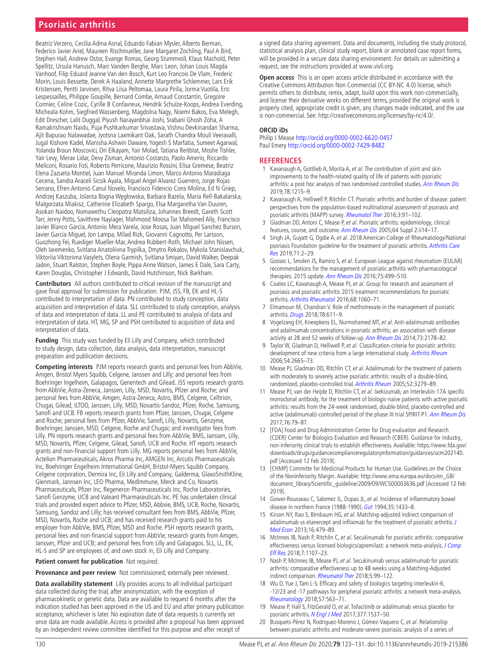## **Psoriatic arthritis**

Beatriz Verzero, Cecilia Adma Asnal, Eduardo Fabian Mysler, Alberto Berman, Federico Javier Ariel, Maureen Rischmueller, Jane Margaret Zochling, Paul A Bird, Stephen Hall, Andrew Ostor, Evange Romas, Georg Stummvoll, Klaus Machold, Peter Spellitz, Ursula Hanusch, Marc Vanden Berghe, Marc Leon, Johan Louis Magda Vanhoof, Filip Eduard Jeanne Van den Bosch, Kurt Leo Francois De Vlam, Frederic Morin, Louis Bessette, Derek A Haaland, Annette Margrethe Schlemmer, Lars Erik Kristensen, Pentti Jarvinen, Ritva Liisa Peltomaa, Laura Pirila, Jorma Vuotila, Eric Lespessailles, Philippe Goupille, Bernard Combe, Arnaud Constantin, Gregoire Cormier, Celine Cozic, Cyrille B Confavreux, Hendrik Schulze-Koops, Andrea Everding, Micheala Kohm, Siegfried Wassenberg, Magdolna Nagy, Noemi Bakos, Eva Melegh, Edit Drescher, Lalit Duggal, Piyush Narayanbhai Joshi, Srabani Ghosh Zoha, A Ramakrishnam Naidu, Puja Pushkarkumar Srivastava, Vishnu Devkinandan Sharma, Ajit Bapurao Nalawadae, Jyotsna Laxmikant Oak, Sarath Chandra Mouli Veeravalli, Jugal Kishore Kadel, Manisha Ashwin Daware, Yogesh S Marfatia, Sumeet Agarwal, Yolanda Braun Moscovici, Ori Elkayam, Yair Molad, Tatiana Reitblat, Moshe Tishler, Yair Levy, Merav Lidar, Devy Zisman, Antonio Costanzo, Paolo Amerio, Riccardo Meliconi, Rosario Foti, Roberto Perricone, Maurizio Rossini, Elisa Gremese, Beatriz Elena Zazueta Montiel, Juan Manuel Miranda Limon, Marco Antonio Maradiaga Cecena, Sandra Araceli Sicsik Ayala, Miguel Angel Alvarez Guerrero, Jorge Rojas Serrano, Efren Antonio Canul Novelo, Francisco Fidencio Cons-Molina, Ed N Griep, Andrzej Kaszuba, Jolanta Bogna Węgłowska, Barbara Bazela, Maria Rell-Bakalarska, Malgorzata Miakisz, Catherine Elizabeth Spargo, Elsa Margaretha Van Duuren, Asokan Naidoo, Nomawethu Cleopatra Matsiliza, Johannes Breedt, Gareth Scott Tarr, Jenny Potts, Savithree Nayiager, Mahmood Moosa Tar Mahomed Ally, Francisco Javier Blanco Garcia, Antonio Mera Varela, Jose Rosas, Juan Miguel Sanchez Burson, Javier Garcia Miguel, Jon Lampa, Milad Rizk, Giovanni Cagnotto, Per Larsson, Guozhong Fei, Ruediger Mueller-Mar, Andrea Rubbert-Roth, Michael John Nissen, Oleh Iaremenko, Svitlana Anatoliivna Trypilka, Dmytro Rekalov, Mykola Stanislavchuk, Viktoriia Viktorivna Vasylets, Olena Garmish, Svitlana Smiyan, David Walker, Deepak Jadon, Stuart Ralston, Stephen Boyle, Pippa Anne Watson, James E Dale, Sara Carty, Karen Douglas, Christopher J Edwards, David Hutchinson, Nick Barkham.

**Contributors** All authors contributed to critical revision of the manuscript and gave final approval for submission for publication. PJM, JSS, FB, EK and HL-S contributed to interpretation of data. PN contributed to study conception, data acquisition and interpretation of data. SLL contributed to study conception, analysis of data and interpretation of data. LL and PE contributed to analysis of data and interpretation of data. HT, MG, SP and PSH contributed to acquisition of data and interpretation of data.

**Funding** This study was funded by Eli Lilly and Company, which contributed to study design, data collection, data analysis, data interpretation, manuscript preparation and publication decisions.

**Competing interests** PJM reports research grants and personal fees from AbbVie, Amgen, Bristol Myers Squibb, Celgene, Janssen and Lilly; and personal fees from Boehringer Ingelheim, Galapagos, Genentech and Gilead. JSS reports research grants from AbbVie, Astra-Zeneca, Janssen, Lilly, MSD, Novartis, Pfizer and Roche; and personal fees from AbbVie, Amgen, Astra-Zeneca, Astro, BMS, Celgene, Celltrion, Chugai, Gilead, ILTOO, Janssen, Lilly, MSD, Novartis-Sandoz, Pfizer, Roche, Samsung, Sanofi and UCB. FB reports research grants from Pfizer, Janssen, Chugai, Celgene and Roche; personal fees from Pfizer, AbbVie, Sanofi, Lilly, Novartis, Genzyme, Boehringer, Janssen, MSD, Celgene, Roche and Chugai; and investigator fees from Lilly. PN reports research grants and personal fees from AbbVie, BMS, Janssen, Lilly, MSD, Novartis, Pfizer, Celgene, Gilead, Sanofi, UCB and Roche. HT reports research grants and non-financial support from Lilly. MG reports personal fees from AbbVie, Actelion Pharmaceuticals, Akros Pharma Inc, AMGEN Inc, Arcutis Pharmaceuticals Inc, Boehringer Engelheim International GmbH, Bristol-Myers Squibb Company, Celgene corporation, Dermira Inc, Eli Lilly and Company, Galderma, GlaxoSmithKline, Glenmark, Jannsen Inc, LEO Pharma, MedImmune, Merck and Co, Novartis Pharmaceuticals, Pfizer Inc, Regeneron Pharmaceuticals Inc, Roche Laboratories, Sanofi Genzyme, UCB and Valeant Pharmaceuticals Inc. PE has undertaken clinical trials and provided expert advice to Pfizer, MSD, Abbvie, BMS, UCB, Roche, Novartis, Samsung, Sandoz and Lilly; has received consultant fees from BMS, AbbVie, Pfizer, MSD, Novartis, Roche and UCB; and has received research grants paid to his employer from AbbVie, BMS, Pfizer, MSD and Roche. PSH reports research grants, personal fees and non-financial support from AbbVie; research grants from Amgen, Janssen, Pfizer and UCB; and personal fees from Lilly and Galapagos. SLL, LL, EK, HL-S and SP are employees of, and own stock in, Eli Lilly and Company.

**Patient consent for publication** Not required.

**Provenance and peer review** Not commissioned; externally peer reviewed.

**Data availability statement** Lilly provides access to all individual participant data collected during the trial, after anonymization, with the exception of pharmacokinetic or genetic data. Data are available to request 6 months after the indication studied has been approved in the US and EU and after primary publication acceptance, whichever is later. No expiration date of data requests is currently set once data are made available. Access is provided after a proposal has been approved by an independent review committee identified for this purpose and after receipt of

a signed data sharing agreement. Data and documents, including the study protocol, statistical analysis plan, clinical study report, blank or annotated case report forms, will be provided in a secure data sharing environment. For details on submitting a request, see the instructions provided at www.vivli.org.

**Open access** This is an open access article distributed in accordance with the Creative Commons Attribution Non Commercial (CC BY-NC 4.0) license, which permits others to distribute, remix, adapt, build upon this work non-commercially, and license their derivative works on different terms, provided the original work is properly cited, appropriate credit is given, any changes made indicated, and the use is non-commercial. See: [http://creativecommons.org/licenses/by-nc/4.0/.](http://creativecommons.org/licenses/by-nc/4.0/)

#### **ORCID iDs**

Philip J Mease <http://orcid.org/0000-0002-6620-0457> Paul Emery<http://orcid.org/0000-0002-7429-8482>

#### **References**

- <span id="page-9-0"></span>1 Kavanaugh A, Gottlieb A, Morita A, et al. The contribution of joint and skin improvements to the health-related quality of life of patients with psoriatic arthritis: a post hoc analysis of two randomised controlled studies. [Ann Rheum Dis](http://dx.doi.org/10.1136/annrheumdis-2018-215003) 2019;78:1215–9.
- <span id="page-9-1"></span>2 Kavanaugh A, Helliwell P, Ritchlin CT. Psoriatic arthritis and burden of disease: patient perspectives from the population-based multinational assessment of psoriasis and psoriatic arthritis (MAPP) survey. [Rheumatol Ther](http://dx.doi.org/10.1007/s40744-016-0029-z) 2016;3:91–102.
- 3 Gladman DD, Antoni C, Mease P, et al. Psoriatic arthritis: epidemiology, clinical features, course, and outcome. [Ann Rheum Dis](http://dx.doi.org/10.1136/ard.2004.032482) 2005;64 Suppl 2:ii14-17.
- 4 Singh JA, Guyatt G, Ogdie A, et al. 2018 American College of Rheumatology/National psoriasis Foundation quideline for the treatment of psoriatic arthritis. Arthritis Care [Res](http://dx.doi.org/10.1002/acr.23789) 2019;71:2–29.
- 5 Gossec L, Smolen JS, Ramiro S, et al. European League against rheumatism (EULAR) recommendations for the management of psoriatic arthritis with pharmacological therapies: 2015 update. [Ann Rheum Dis](http://dx.doi.org/10.1136/annrheumdis-2015-208337) 2016;75:499-510.
- 6 Coates LC, Kavanaugh A, Mease PJ, et al. Group for research and assessment of psoriasis and psoriatic arthritis 2015 treatment recommendations for psoriatic arthritis. [Arthritis Rheumatol](http://dx.doi.org/10.1002/art.39573) 2016;68:1060-71.
- <span id="page-9-2"></span>7 Elmamoun M, Chandran V. Role of methotrexate in the management of psoriatic arthritis. [Drugs](http://dx.doi.org/10.1007/s40265-018-0898-2) 2018;78:611-9.
- <span id="page-9-3"></span>8 Vogelzang EH, Kneepkens EL, Nurmohamed MT, et al. Anti-adalimumab antibodies and adalimumab concentrations in psoriatic arthritis; an association with disease activity at 28 and 52 weeks of follow-up. [Ann Rheum Dis](http://dx.doi.org/10.1136/annrheumdis-2014-205554) 2014;73:2178–82.
- <span id="page-9-4"></span>9 Taylor W, Gladman D, Helliwell P, et al. Classification criteria for psoriatic arthritis: development of new criteria from a large international study. [Arthritis Rheum](http://dx.doi.org/10.1002/art.21972) 2006;54:2665–73.
- <span id="page-9-5"></span>10 Mease PJ, Gladman DD, Ritchlin CT, et al. Adalimumab for the treatment of patients with moderately to severely active psoriatic arthritis: results of a double-blind, randomized, placebo-controlled trial. [Arthritis Rheum](http://dx.doi.org/10.1002/art.21306) 2005;52:3279–89.
- <span id="page-9-8"></span>11 Mease PJ, van der Heijde D, Ritchlin CT, et al. Ixekizumab, an interleukin-17A specific monoclonal antibody, for the treatment of biologic-naive patients with active psoriatic arthritis: results from the 24-week randomised, double-blind, placebo-controlled and active (adalimumab)-controlled period of the phase III trial SPIRIT-P1. [Ann Rheum Dis](http://dx.doi.org/10.1136/annrheumdis-2016-209709) 2017;76:79–87.
- 12 [FDA] Food and Drug Administration Center for Drug evaluation and Research (CDER) Center for Biologics Evaluation and Research (CBER). Guidance for industry, non-inferiority clinical trials to establish effectiveness. Available: [https://www.fda.gov/](https://www.fda.gov/downloads/drugs/guidancecomplianceregulatoryinformation/guidances/ucm202140.pdf) [downloads/drugs/guidancecomplianceregulatoryinformation/guidances/ucm202140.](https://www.fda.gov/downloads/drugs/guidancecomplianceregulatoryinformation/guidances/ucm202140.pdf) [pdf](https://www.fda.gov/downloads/drugs/guidancecomplianceregulatoryinformation/guidances/ucm202140.pdf) [Accessed 12 Feb 2019].
- 13 [CHMP] Committe for Medicinal Products for Human Use. Guidelines on the Choice of the Noninferiority Margin. Available: [http://www.ema.europa.eu/docs/en\\_GB/](http://www.ema.europa.eu/docs/en_GB/document_library/Scientific_guideline/2009/09/WC500003636.pdf) [document\\_library/Scientific\\_guideline/2009/09/WC500003636.pdf](http://www.ema.europa.eu/docs/en_GB/document_library/Scientific_guideline/2009/09/WC500003636.pdf) [Accessed 12 Feb 2019].
- <span id="page-9-6"></span>14 Gower-Rousseau C, Salomez JL, Dupas JL, et al. Incidence of inflammatory bowel disease in northern France (1988-1990). [Gut](http://dx.doi.org/10.1136/gut.35.10.1433) 1994;35:1433-8.
- <span id="page-9-7"></span>15 Kirson NY, Rao S, Birnbaum HG, et al. Matching-adjusted indirect comparison of adalimumab vs etanercept and infliximab for the treatment of psoriatic arthritis. J [Med Econ](http://dx.doi.org/10.3111/13696998.2013.768530) 2013;16:479–89.
- 16 McInnes IB, Nash P, Ritchlin C, et al. Secukinumab for psoriatic arthritis: comparative effectiveness versus licensed biologics/apremilast: a network meta-analysis. J Comp [Eff Res](http://dx.doi.org/10.2217/cer-2018-0075) 2018;7:1107–23.
- 17 Nash P, McInnes IB, Mease PJ, et al. Secukinumab versus adalimumab for psoriatic arthritis: comparative effectiveness up to 48 weeks using a Matching-Adjusted indirect comparison. [Rheumatol Ther](http://dx.doi.org/10.1007/s40744-018-0106-6) 2018;5:99-122.
- 18 Wu D, Yue J, Tam L-S. Efficacy and safety of biologics targeting interleukin-6, -12/23 and -17 pathways for peripheral psoriatic arthritis: a network meta-analysis. [Rheumatology](http://dx.doi.org/10.1093/rheumatology/kex452) 2018;57:563–71.
- 19 Mease P, Hall S, FitzGerald O, et al. Tofacitinib or adalimumab versus placebo for psoriatic arthritis. [N Engl J Med](http://dx.doi.org/10.1056/NEJMoa1615975) 2017;377:1537-50.
- <span id="page-9-9"></span>20 Busquets-Pérez N, Rodriguez-Moreno J, Gómez-Vaquero C, et al. Relationship between psoriatic arthritis and moderate-severe psoriasis: analysis of a series of